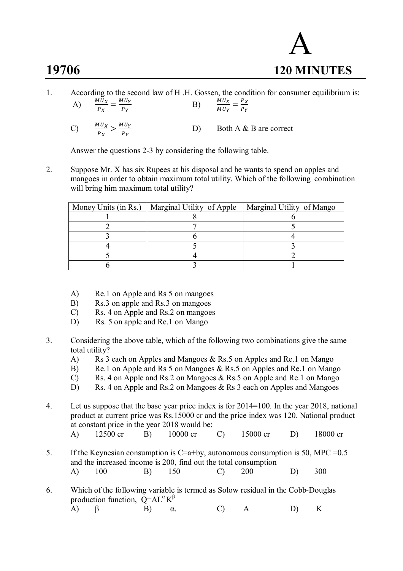# A **19706 120 MINUTES**

1. According to the second law of H .H. Gossen, the condition for consumer equilibrium is: A)  $\frac{M U_X}{P_X} = \frac{M U_Y}{P_Y}$  $P_Y$ B)  $\frac{M U_X}{M U_Y} = \frac{P_X}{P_Y}$  $\frac{1}{P_Y}$ C)  $\frac{M U_X}{P_X} > \frac{M U_Y}{P_Y}$  $P_Y$ D) Both A & B are correct

Answer the questions 2-3 by considering the following table.

2. Suppose Mr. X has six Rupees at his disposal and he wants to spend on apples and mangoes in order to obtain maximum total utility. Which of the following combination will bring him maximum total utility?

| Money Units (in Rs.)   Marginal Utility of Apple | Marginal Utility of Mango |
|--------------------------------------------------|---------------------------|
|                                                  |                           |
|                                                  |                           |
|                                                  |                           |
|                                                  |                           |
|                                                  |                           |
|                                                  |                           |

- A) Re.1 on Apple and Rs 5 on mangoes
- B) Rs.3 on apple and Rs.3 on mangoes
- C) Rs. 4 on Apple and Rs.2 on mangoes
- D) Rs. 5 on apple and Re. 1 on Mango
- 3. Considering the above table, which of the following two combinations give the same total utility?
	- A) Rs 3 each on Apples and Mangoes & Rs.5 on Apples and Re.1 on Mango
	- B) Re.1 on Apple and Rs 5 on Mangoes & Rs.5 on Apples and Re.1 on Mango
	- C) Rs. 4 on Apple and Rs.2 on Mangoes & Rs.5 on Apple and Re.1 on Mango
	- D) Rs. 4 on Apple and Rs.2 on Mangoes & Rs 3 each on Apples and Mangoes
- 4. Let us suppose that the base year price index is for 2014=100. In the year 2018, national product at current price was Rs.15000 cr and the price index was 120. National product at constant price in the year 2018 would be:
	- A) 12500 cr B) 10000 cr C) 15000 cr D) 18000 cr
- 5. If the Keynesian consumption is  $C=a+by$ , autonomous consumption is 50, MPC = 0.5 and the increased income is 200, find out the total consumption A) 100 B) 150 C) 200 D) 300
- 6. Which of the following variable is termed as Solow residual in the Cobb-Douglas production function,  $\overline{Q} = AL^{\alpha} K^{\beta}$ A) β B) α. C) A D) K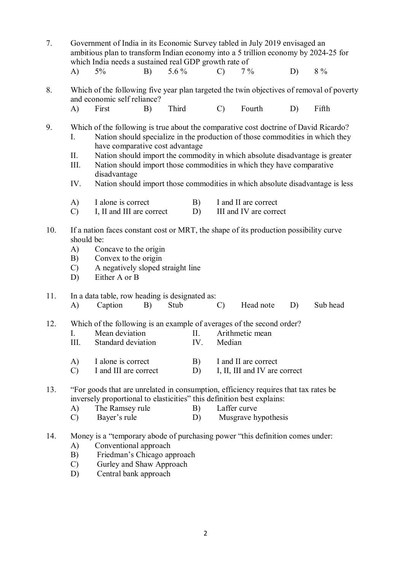| 7.  | Government of India in its Economic Survey tabled in July 2019 envisaged an<br>ambitious plan to transform Indian economy into a 5 trillion economy by 2024-25 for<br>which India needs a sustained real GDP growth rate of |                                                                                                                                                                                                                                                                                                                                                                                                                                                                    |    |         |                 |               |                                                |    |                                                                                          |
|-----|-----------------------------------------------------------------------------------------------------------------------------------------------------------------------------------------------------------------------------|--------------------------------------------------------------------------------------------------------------------------------------------------------------------------------------------------------------------------------------------------------------------------------------------------------------------------------------------------------------------------------------------------------------------------------------------------------------------|----|---------|-----------------|---------------|------------------------------------------------|----|------------------------------------------------------------------------------------------|
|     | A)                                                                                                                                                                                                                          | 5%                                                                                                                                                                                                                                                                                                                                                                                                                                                                 | B) | 5.6 $%$ |                 | $\mathcal{C}$ | $7\%$                                          | D) | $8\%$                                                                                    |
| 8.  |                                                                                                                                                                                                                             | and economic self reliance?                                                                                                                                                                                                                                                                                                                                                                                                                                        |    |         |                 |               |                                                |    | Which of the following five year plan targeted the twin objectives of removal of poverty |
|     | A)                                                                                                                                                                                                                          | First                                                                                                                                                                                                                                                                                                                                                                                                                                                              | B) | Third   |                 | $\mathcal{C}$ | Fourth                                         | D) | Fifth                                                                                    |
| 9.  | Ι.<br>П.<br>III.<br>IV.                                                                                                                                                                                                     | Which of the following is true about the comparative cost doctrine of David Ricardo?<br>Nation should specialize in the production of those commodities in which they<br>have comparative cost advantage<br>Nation should import the commodity in which absolute disadvantage is greater<br>Nation should import those commodities in which they have comparative<br>disadvantage<br>Nation should import those commodities in which absolute disadvantage is less |    |         |                 |               |                                                |    |                                                                                          |
|     | A)<br>$\mathcal{C}$                                                                                                                                                                                                         | I alone is correct<br>I, II and III are correct                                                                                                                                                                                                                                                                                                                                                                                                                    |    |         | B)<br>D)        |               | I and II are correct<br>III and IV are correct |    |                                                                                          |
| 10. | should be:<br>A)<br>B)<br>$\mathcal{C}$<br>D)                                                                                                                                                                               | If a nation faces constant cost or MRT, the shape of its production possibility curve<br>Concave to the origin<br>Convex to the origin<br>A negatively sloped straight line<br>Either A or B                                                                                                                                                                                                                                                                       |    |         |                 |               |                                                |    |                                                                                          |
| 11. | A)                                                                                                                                                                                                                          | In a data table, row heading is designated as:<br>Caption                                                                                                                                                                                                                                                                                                                                                                                                          | B) | Stub    |                 | $\mathcal{C}$ | Head note                                      | D) | Sub head                                                                                 |
| 12. | I.<br>Ш.<br>A)                                                                                                                                                                                                              | Which of the following is an example of averages of the second order?<br>Mean deviation<br>Standard deviation<br>I alone is correct                                                                                                                                                                                                                                                                                                                                |    |         | П.<br>IV.<br>B) | Median        | Arithmetic mean<br>I and II are correct        |    |                                                                                          |
|     | $\mathcal{C}$                                                                                                                                                                                                               | I and III are correct                                                                                                                                                                                                                                                                                                                                                                                                                                              |    |         | D)              |               | I, II, III and IV are correct                  |    |                                                                                          |
| 13. | A)<br>$\mathcal{C}$                                                                                                                                                                                                         | "For goods that are unrelated in consumption, efficiency requires that tax rates be<br>inversely proportional to elasticities" this definition best explains:<br>The Ramsey rule<br>Bayer's rule                                                                                                                                                                                                                                                                   |    |         | B)<br>D)        | Laffer curve  | Musgrave hypothesis                            |    |                                                                                          |
| 14. | A)<br>B)                                                                                                                                                                                                                    | Money is a "temporary abode of purchasing power "this definition comes under:<br>Conventional approach<br>Friedman's Chicago approach                                                                                                                                                                                                                                                                                                                              |    |         |                 |               |                                                |    |                                                                                          |

- C) Gurley and Shaw Approach
- D) Central bank approach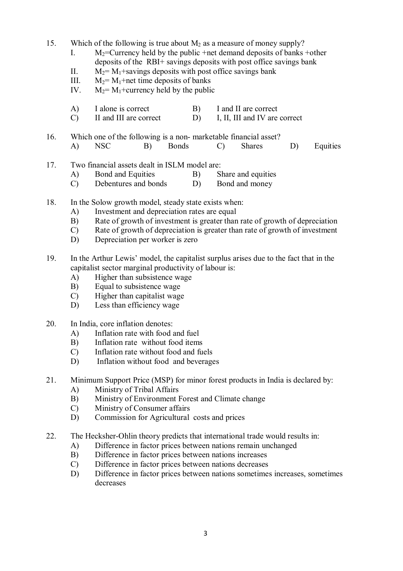15. Which of the following is true about  $M_2$  as a measure of money supply?

- I.  $M_2$ =Currency held by the public +net demand deposits of banks +other deposits of the RBI+ savings deposits with post office savings bank
- II.  $M_2 = M_1 +$ savings deposits with post office savings bank
- III.  $M_2 = M_1 + net$  time deposits of banks
- IV.  $M_2 = M_1 +$ currency held by the public
- A) I alone is correct B) I and II are correct
- C) II and III are correct D) I, II, III and IV are correct
- 16. Which one of the following is a non- marketable financial asset? A) NSC B) Bonds C) Shares D) Equities
- 17. Two financial assets dealt in ISLM model are:
	- A) Bond and Equities B) Share and equities
	- C) Debentures and bonds D) Bond and money
- 18. In the Solow growth model, steady state exists when:
	- A) Investment and depreciation rates are equal
	- B) Rate of growth of investment is greater than rate of growth of depreciation
	- C) Rate of growth of depreciation is greater than rate of growth of investment
	- D) Depreciation per worker is zero
- 19. In the Arthur Lewis' model, the capitalist surplus arises due to the fact that in the capitalist sector marginal productivity of labour is:
	- A) Higher than subsistence wage
	- B) Equal to subsistence wage
	- C) Higher than capitalist wage
	- D) Less than efficiency wage
- 20. In India, core inflation denotes:
	- A) Inflation rate with food and fuel
	- B) Inflation rate without food items
	- C) Inflation rate without food and fuels
	- D) Inflation without food and beverages
- 21. Minimum Support Price (MSP) for minor forest products in India is declared by:
	- A) Ministry of Tribal Affairs<br>B) Ministry of Environment I
	- Ministry of Environment Forest and Climate change
	- C) Ministry of Consumer affairs
	- D) Commission for Agricultural costs and prices
- 22. The Hecksher-Ohlin theory predicts that international trade would results in:
	- A) Difference in factor prices between nations remain unchanged
	- B) Difference in factor prices between nations increases
	- C) Difference in factor prices between nations decreases
	- D) Difference in factor prices between nations sometimes increases, sometimes decreases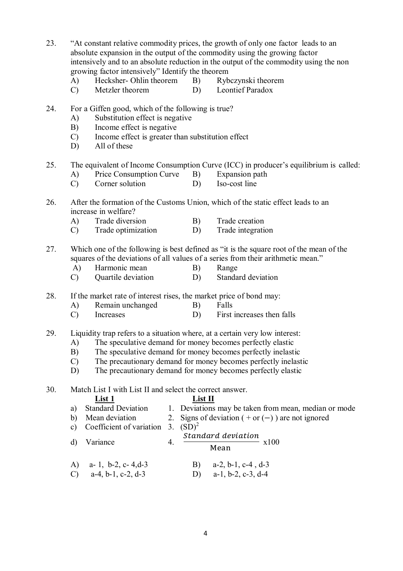23. "At constant relative commodity prices, the growth of only one factor leads to an absolute expansion in the output of the commodity using the growing factor intensively and to an absolute reduction in the output of the commodity using the non growing factor intensively" Identify the theorem

- A) Hecksher- Ohlin theorem B) Rybczynski theorem
- C) Metzler theorem D) Leontief Paradox
- 24. For a Giffen good, which of the following is true?
	- A) Substitution effect is negative
	- B) Income effect is negative
	- C) Income effect is greater than substitution effect
	- D) All of these

# 25. The equivalent of Income Consumption Curve (ICC) in producer's equilibrium is called:

- A) Price Consumption Curve B) Expansion path
- C) Corner solution D) Iso-cost line
- 26. After the formation of the Customs Union, which of the static effect leads to an increase in welfare?
	- A) Trade diversion B) Trade creation
	- C) Trade optimization D) Trade integration
- 27. Which one of the following is best defined as "it is the square root of the mean of the squares of the deviations of all values of a series from their arithmetic mean."
	- A) Harmonic mean B) Range
	- C) Quartile deviation D) Standard deviation
- 28. If the market rate of interest rises, the market price of bond may:
	- A) Remain unchanged B) Falls
	- C) Increases D) First increases then falls
- 29. Liquidity trap refers to a situation where, at a certain very low interest:
	- A) The speculative demand for money becomes perfectly elastic
	- B) The speculative demand for money becomes perfectly inelastic
	- C) The precautionary demand for money becomes perfectly inelastic
	- D) The precautionary demand for money becomes perfectly elastic

30. Match List I with List II and select the correct answer.

|    | List 1                                             |    | List II                                                                    |
|----|----------------------------------------------------|----|----------------------------------------------------------------------------|
| a) | <b>Standard Deviation</b>                          |    | 1. Deviations may be taken from mean, median or mode                       |
| b) | Mean deviation                                     |    | 2. Signs of deviation $(+ or (-))$ are not ignored                         |
| c) | Coefficient of variation                           |    | 3. $(SD)^2$                                                                |
| d) | Variance                                           | 4. | Standard deviation<br>x100<br>Mean                                         |
|    | A) a- 1, b-2, c- 4, d-3<br>C) $a-4, b-1, c-2, d-3$ |    | $a-2$ , $b-1$ , $c-4$ , $d-3$<br>B)<br>$a-1$ , $b-2$ , $c-3$ , $d-4$<br>D) |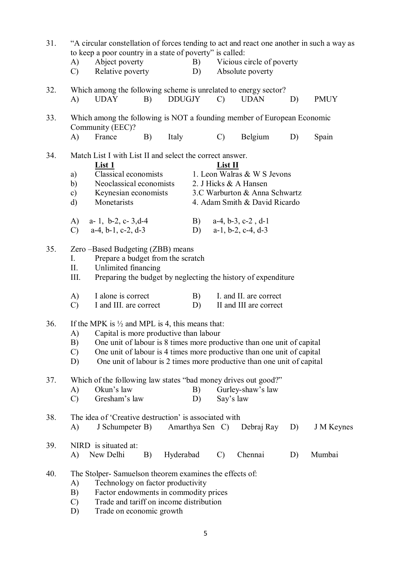| 31. | A)<br>$\mathcal{C}$             | to keep a poor country in a state of poverty" is called:<br>Abject poverty<br>Relative poverty                                                                                                              |    |               | B)<br>D) |                 | Vicious circle of poverty<br>Absolute poverty                                                                                                    |    | "A circular constellation of forces tending to act and react one another in such a way as |
|-----|---------------------------------|-------------------------------------------------------------------------------------------------------------------------------------------------------------------------------------------------------------|----|---------------|----------|-----------------|--------------------------------------------------------------------------------------------------------------------------------------------------|----|-------------------------------------------------------------------------------------------|
| 32. | A)                              | Which among the following scheme is unrelated to energy sector?<br><b>UDAY</b>                                                                                                                              | B) | <b>DDUGJY</b> |          | $\mathcal{C}$   | <b>UDAN</b>                                                                                                                                      | D) | <b>PMUY</b>                                                                               |
| 33. | A)                              | Which among the following is NOT a founding member of European Economic<br>Community (EEC)?<br>France                                                                                                       | B) | Italy         |          | $\mathcal{C}$   | Belgium                                                                                                                                          | D) | Spain                                                                                     |
| 34. | a)<br>b)<br>c)                  | Match List I with List II and select the correct answer.<br><b>List 1</b><br>Classical economists<br>Neoclassical economists<br>Keynesian economists                                                        |    |               |          | List II         | 1. Leon Walras & W S Jevons<br>2. J Hicks & A Hansen<br>3.C Warburton & Anna Schwartz                                                            |    |                                                                                           |
|     | $\rm d)$<br>A)<br>$\mathcal{C}$ | Monetarists<br>a- 1, b-2, c- $3,d-4$<br>$a-4$ , $b-1$ , $c-2$ , $d-3$                                                                                                                                       |    |               | B)<br>D) |                 | 4. Adam Smith & David Ricardo<br>$a-4$ , $b-3$ , $c-2$ , $d-1$<br>$a-1$ , $b-2$ , $c-4$ , $d-3$                                                  |    |                                                                                           |
| 35. | I.<br>П.<br>III.                | Zero -Based Budgeting (ZBB) means<br>Prepare a budget from the scratch<br>Unlimited financing                                                                                                               |    |               |          |                 | Preparing the budget by neglecting the history of expenditure                                                                                    |    |                                                                                           |
|     | A)<br>$\mathcal{C}$             | I alone is correct<br>I and III. are correct                                                                                                                                                                |    |               | B)<br>D) |                 | I. and II. are correct<br>II and III are correct                                                                                                 |    |                                                                                           |
| 36. | A)<br>$\mathcal{C}$<br>D)       | If the MPK is $\frac{1}{2}$ and MPL is 4, this means that:<br>Capital is more productive than labour<br>B) One unit of labour is 8 times more productive than one unit of capital                           |    |               |          |                 | One unit of labour is 4 times more productive than one unit of capital<br>One unit of labour is 2 times more productive than one unit of capital |    |                                                                                           |
| 37. | A)<br>C)                        | Which of the following law states "bad money drives out good?"<br>Okun's law<br>Gresham's law                                                                                                               |    |               | B)<br>D) | Say's law       | Gurley-shaw's law                                                                                                                                |    |                                                                                           |
| 38. | A)                              | The idea of 'Creative destruction' is associated with<br>J Schumpeter B)                                                                                                                                    |    |               |          | Amarthya Sen C) | Debraj Ray                                                                                                                                       | D) | <b>J</b> M Keynes                                                                         |
| 39. | A)                              | NIRD is situated at:<br>New Delhi                                                                                                                                                                           | B) | Hyderabad     |          | $\mathcal{C}$   | Chennai                                                                                                                                          | D) | Mumbai                                                                                    |
| 40. | A)<br>B)<br>$\mathcal{C}$<br>D) | The Stolper-Samuelson theorem examines the effects of:<br>Technology on factor productivity<br>Factor endowments in commodity prices<br>Trade and tariff on income distribution<br>Trade on economic growth |    |               |          |                 |                                                                                                                                                  |    |                                                                                           |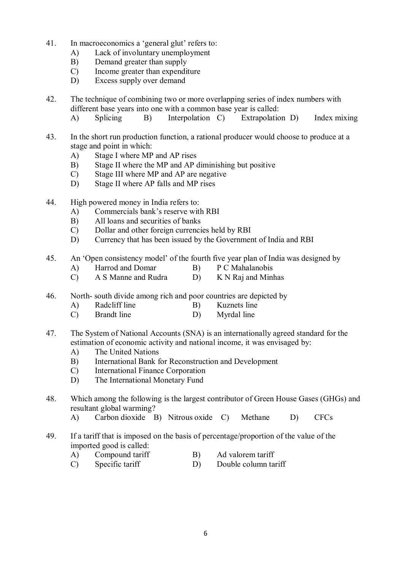- 41. In macroeconomics a 'general glut' refers to:
	- A) Lack of involuntary unemployment
	- B) Demand greater than supply
	- C) Income greater than expenditure
	- D) Excess supply over demand
- 42. The technique of combining two or more overlapping series of index numbers with different base years into one with a common base year is called:
	- A) Splicing B) Interpolation C) Extrapolation D) Index mixing
- 43. In the short run production function, a rational producer would choose to produce at a stage and point in which:
	- A) Stage I where MP and AP rises
	- B) Stage II where the MP and AP diminishing but positive
	- C) Stage III where MP and AP are negative
	- D) Stage II where AP falls and MP rises
- 44. High powered money in India refers to:
	- A) Commercials bank's reserve with RBI
	- B) All loans and securities of banks
	- C) Dollar and other foreign currencies held by RBI
	- D) Currency that has been issued by the Government of India and RBI
- 45. An 'Open consistency model' of the fourth five year plan of India was designed by
	- A) Harrod and Domar B) P C Mahalanobis
	- C) A S Manne and Rudra D) K N Raj and Minhas
- 46. North- south divide among rich and poor countries are depicted by
	- A) Radcliff line B) Kuznets line
	- C) Brandt line D) Myrdal line
- 47. The System of National Accounts (SNA) is an internationally agreed standard for the estimation of economic activity and national income, it was envisaged by:
	- A) The United Nations
	- B) International Bank for Reconstruction and Development
	- C) International Finance Corporation
	- D) The International Monetary Fund
- 48. Which among the following is the largest contributor of Green House Gases (GHGs) and resultant global warming?
	- A) Carbon dioxide B) Nitrous oxide C) Methane D) CFCs
- 49. If a tariff that is imposed on the basis of percentage/proportion of the value of the imported good is called:
	- A) Compound tariff B) Ad valorem tariff
	- C) Specific tariff D) Double column tariff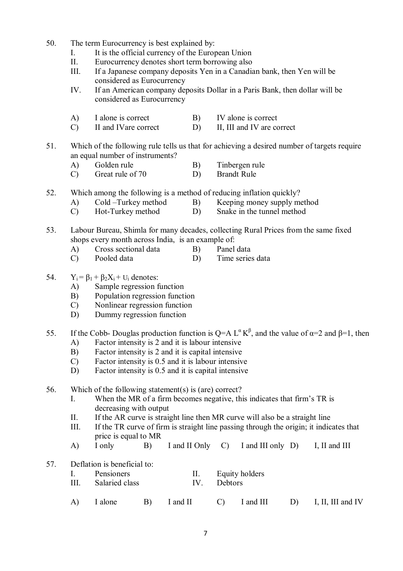- 50. The term Eurocurrency is best explained by:
	- I. It is the official currency of the European Union
	- II. Eurocurrency denotes short term borrowing also
	- III. If a Japanese company deposits Yen in a Canadian bank, then Yen will be considered as Eurocurrency
	- IV. If an American company deposits Dollar in a Paris Bank, then dollar will be considered as Eurocurrency
	- A) I alone is correct B) IV alone is correct
	- C) II and IVare correct D) II, III and IV are correct
- 51. Which of the following rule tells us that for achieving a desired number of targets require an equal number of instruments?
	- A) Golden rule B) Tinbergen rule
	- C) Great rule of 70 D) Brandt Rule
- 52. Which among the following is a method of reducing inflation quickly?
	- A) Cold –Turkey method B) Keeping money supply method
	- C) Hot-Turkey method D) Snake in the tunnel method
- 53. Labour Bureau, Shimla for many decades, collecting Rural Prices from the same fixed shops every month across India, is an example of:
	- A) Cross sectional data B) Panel data
	- C) Pooled data D) Time series data
- 54.  $Y_i = \beta_1 + \beta_2 X_i + U_i$  denotes:
	- A) Sample regression function
	- B) Population regression function
	- C) Nonlinear regression function
	- D) Dummy regression function
- 55. If the Cobb- Douglas production function is Q=A L<sup>α</sup> K<sup>β</sup>, and the value of α=2 and β=1, then
	- A) Factor intensity is 2 and it is labour intensive
	- B) Factor intensity is 2 and it is capital intensive
	- C) Factor intensity is 0.5 and it is labour intensive
	- D) Factor intensity is 0.5 and it is capital intensive

56. Which of the following statement(s) is (are) correct?

- I. When the MR of a firm becomes negative, this indicates that firm's TR is decreasing with output
- II. If the AR curve is straight line then MR curve will also be a straight line
- III. If the TR curve of firm is straight line passing through the origin; it indicates that price is equal to MR
- A) I only B) I and II Only C) I and III only D) I, II and III
- 57. Deflation is beneficial to:

|  | Pensioners |  | Equity holders |
|--|------------|--|----------------|
|--|------------|--|----------------|

- III. Salaried class IV. Debtors
- A) I alone B) I and II C) I and III D) I, II, III and IV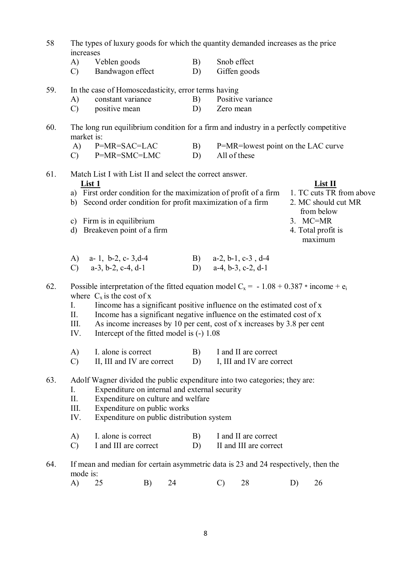| 58  | The types of luxury goods for which the quantity demanded increases as the price<br>increases |                                                                                                                                        |          |            |               |                                                                         |    |                                                               |
|-----|-----------------------------------------------------------------------------------------------|----------------------------------------------------------------------------------------------------------------------------------------|----------|------------|---------------|-------------------------------------------------------------------------|----|---------------------------------------------------------------|
|     | A)                                                                                            | Veblen goods                                                                                                                           |          | B)         |               | Snob effect                                                             |    |                                                               |
|     | $\mathcal{C}$                                                                                 | Bandwagon effect                                                                                                                       |          | D)         |               | Giffen goods                                                            |    |                                                               |
| 59. |                                                                                               | In the case of Homoscedasticity, error terms having                                                                                    |          |            |               |                                                                         |    |                                                               |
|     | A)                                                                                            | constant variance                                                                                                                      |          | B)         |               | Positive variance                                                       |    |                                                               |
|     | $\mathcal{C}$                                                                                 | positive mean                                                                                                                          |          | D)         | Zero mean     |                                                                         |    |                                                               |
| 60. | market is:                                                                                    | The long run equilibrium condition for a firm and industry in a perfectly competitive                                                  |          |            |               |                                                                         |    |                                                               |
|     | A)                                                                                            | P=MR=SAC=LAC                                                                                                                           |          | <b>B</b> ) |               | P=MR=lowest point on the LAC curve                                      |    |                                                               |
|     | $\mathcal{C}$                                                                                 | P=MR=SMC=LMC                                                                                                                           |          | D)         |               | All of these                                                            |    |                                                               |
| 61. |                                                                                               | Match List I with List II and select the correct answer.                                                                               |          |            |               |                                                                         |    |                                                               |
|     | List 1                                                                                        |                                                                                                                                        |          |            |               |                                                                         |    | List II                                                       |
|     |                                                                                               | a) First order condition for the maximization of profit of a firm<br>b) Second order condition for profit maximization of a firm       |          |            |               |                                                                         |    | 1. TC cuts TR from above<br>2. MC should cut MR<br>from below |
|     | $\mathbf{c})$                                                                                 | Firm is in equilibrium                                                                                                                 |          |            |               |                                                                         |    | $3.$ MC=MR                                                    |
|     | $\mathbf{d}$                                                                                  | Breakeven point of a firm                                                                                                              |          |            |               |                                                                         |    | 4. Total profit is                                            |
|     |                                                                                               |                                                                                                                                        |          |            |               |                                                                         |    | maximum                                                       |
|     |                                                                                               | A) a-1, b-2, c-3, d-4                                                                                                                  |          |            |               | B) a-2, b-1, c-3, d-4                                                   |    |                                                               |
|     |                                                                                               | C) $a-3, b-2, c-4, d-1$                                                                                                                |          | D)         |               | $a-4, b-3, c-2, d-1$                                                    |    |                                                               |
| 62. |                                                                                               | Possible interpretation of the fitted equation model C <sub>x</sub> = -1.08 + 0.387 $*$ income + $e_i$<br>where $C_x$ is the cost of x |          |            |               |                                                                         |    |                                                               |
|     | $I_{\cdot}$                                                                                   |                                                                                                                                        |          |            |               | Income has a significant positive influence on the estimated cost of x  |    |                                                               |
|     | II.                                                                                           |                                                                                                                                        |          |            |               | Income has a significant negative influence on the estimated cost of x  |    |                                                               |
|     | III.                                                                                          |                                                                                                                                        |          |            |               | As income increases by 10 per cent, cost of x increases by 3.8 per cent |    |                                                               |
|     | IV.                                                                                           | Intercept of the fitted model is (-) 1.08                                                                                              |          |            |               |                                                                         |    |                                                               |
|     | A)                                                                                            | I. alone is correct                                                                                                                    |          | B)         |               | I and II are correct                                                    |    |                                                               |
|     | $\mathcal{C}$                                                                                 | II, III and IV are correct                                                                                                             |          | D)         |               | I, III and IV are correct                                               |    |                                                               |
| 63. |                                                                                               | Adolf Wagner divided the public expenditure into two categories; they are:                                                             |          |            |               |                                                                         |    |                                                               |
|     | I.                                                                                            | Expenditure on internal and external security                                                                                          |          |            |               |                                                                         |    |                                                               |
|     | II.                                                                                           | Expenditure on culture and welfare                                                                                                     |          |            |               |                                                                         |    |                                                               |
|     | III.                                                                                          | Expenditure on public works                                                                                                            |          |            |               |                                                                         |    |                                                               |
|     | IV.                                                                                           | Expenditure on public distribution system                                                                                              |          |            |               |                                                                         |    |                                                               |
|     | A)                                                                                            | I. alone is correct                                                                                                                    |          | B)         |               | I and II are correct                                                    |    |                                                               |
|     | $\mathcal{C}$                                                                                 | I and III are correct                                                                                                                  |          | D)         |               | II and III are correct                                                  |    |                                                               |
| 64. | mode is:                                                                                      | If mean and median for certain asymmetric data is 23 and 24 respectively, then the                                                     |          |            |               |                                                                         |    |                                                               |
|     | A)                                                                                            | 25                                                                                                                                     | B)<br>24 |            | $\mathcal{C}$ | 28                                                                      | D) | 26                                                            |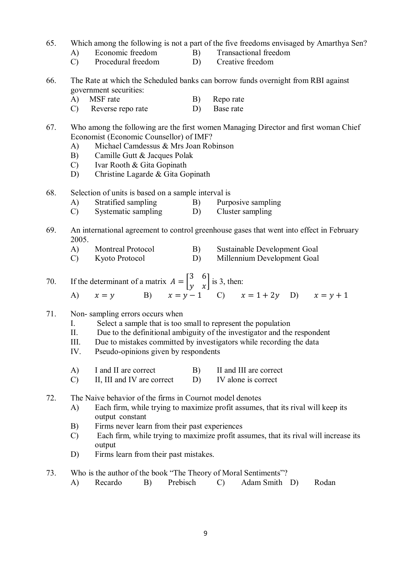### 65. Which among the following is not a part of the five freedoms envisaged by Amarthya Sen?

- A) Economic freedom B) Transactional freedom
- C) Procedural freedom D) Creative freedom
- 66. The Rate at which the Scheduled banks can borrow funds overnight from RBI against government securities:
	- A) MSF rate B) Repo rate
	- C) Reverse repo rate D) Base rate
- 67. Who among the following are the first women Managing Director and first woman Chief Economist (Economic Counsellor) of IMF?
	- A) Michael Camdessus & Mrs Joan Robinson
	- B) Camille Gutt & Jacques Polak
	- C) Ivar Rooth & Gita Gopinath
	- D) Christine Lagarde & Gita Gopinath
- 68. Selection of units is based on a sample interval is
	- A) Stratified sampling B) Purposive sampling
	- C) Systematic sampling D) Cluster sampling
- 69. An international agreement to control greenhouse gases that went into effect in February 2005.
	- A) Montreal Protocol B) Sustainable Development Goal
	- C) Kyoto Protocol D) Millennium Development Goal
- 70. If the determinant of a matrix  $A = \begin{bmatrix} 3 & 6 \\ 3 & x \end{bmatrix}$  $\begin{bmatrix} 0 \\ y \\ x \end{bmatrix}$  is 3, then:
	- A)  $x = y$  B)  $x = y 1$  C)  $x = 1 + 2y$  D)  $x = y + 1$
- 71. Non- sampling errors occurs when
	- I. Select a sample that is too small to represent the population
	- II. Due to the definitional ambiguity of the investigator and the respondent
	- III. Due to mistakes committed by investigators while recording the data
	- IV. Pseudo-opinions given by respondents
	- A) I and II are correct B) II and III are correct
	- C) II, III and IV are correct D) IV alone is correct
- 72. The Naive behavior of the firms in Cournot model denotes
	- A) Each firm, while trying to maximize profit assumes, that its rival will keep its output constant
	- B) Firms never learn from their past experiences
	- C) Each firm, while trying to maximize profit assumes, that its rival will increase its output
	- D) Firms learn from their past mistakes.
- 73. Who is the author of the book "The Theory of Moral Sentiments"?
	- A) Recardo B) Prebisch C) Adam Smith D) Rodan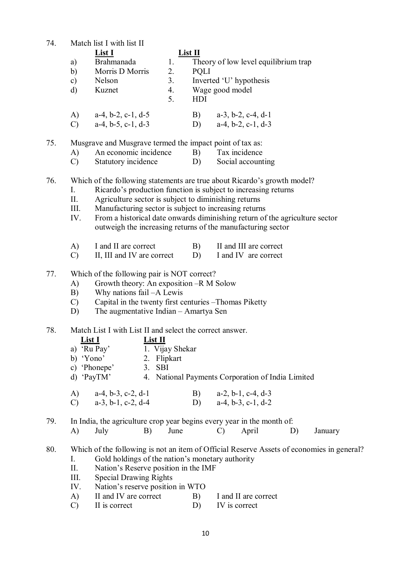74. Match list I with list II

|               | <b>List I</b>        |    | $List$ $II$                                   |
|---------------|----------------------|----|-----------------------------------------------|
| a)            | Brahmanada           | 1. | Theory of low level equilibrium trap          |
| b)            | Morris D Morris      | 2. | <b>POLI</b>                                   |
| $\mathbf{c})$ | Nelson               | 3. | Inverted 'U' hypothesis                       |
| d)            | Kuznet               | 4. | Wage good model                               |
|               |                      | 5. | HDI                                           |
| A)            | $a-4, b-2, c-1, d-5$ |    | $a-3$ , $b-2$ , $c-4$ , $d-1$<br>$\mathbf{B}$ |
| $\bigcap$     | $a-4, b-5, c-1, d-3$ |    | $a-4, b-2, c-1, d-3$<br>D)                    |

75. Musgrave and Musgrave termed the impact point of tax as:

- A) An economic incidence B) Tax incidence
- C) Statutory incidence D) Social accounting

76. Which of the following statements are true about Ricardo's growth model?

- I. Ricardo's production function is subject to increasing returns
- II. Agriculture sector is subject to diminishing returns
- III. Manufacturing sector is subject to increasing returns
- IV. From a historical date onwards diminishing return of the agriculture sector outweigh the increasing returns of the manufacturing sector
- A) I and II are correct B) II and III are correct
- C) II, III and IV are correct D) I and IV are correct
- 77. Which of the following pair is NOT correct?
	- A) Growth theory: An exposition –R M Solow
	- B) Why nations fail –A Lewis
	- C) Capital in the twenty first centuries –Thomas Piketty
	- D) The augmentative Indian Amartya Sen

#### 78. Match List I with List II and select the correct answer.

# **List I List II**

- a)  $\overrightarrow{Ru \text{ Pay}}$  1. Vijay Shekar<br>b) 'Yono' 2. Flipkart
	- 2. Flipkart
- c) 'Phonepe' 3. SBI
- d) 'PayTM' 4. National Payments Corporation of India Limited

| A) | $a-4, b-3, c-2, d-1$  | B) $a-2, b-1, c-4, d-3$ |
|----|-----------------------|-------------------------|
| C) | $a-3$ , b-1, c-2, d-4 | D) $a-4, b-3, c-1, d-2$ |

79. In India, the agriculture crop year begins every year in the month of:

A) July B) June C) April D) January

#### 80. Which of the following is not an item of Official Reserve Assets of economies in general? I. Gold holdings of the nation's monetary authority

- II. Nation's Reserve position in the IMF
- 
- III. Special Drawing Rights<br>IV. Nation's reserve position Nation's reserve position in WTO
- A) II and IV are correct B) I and II are correct<br>
C) II is correct D) IV is correct
- C) II is correct D) IV is correct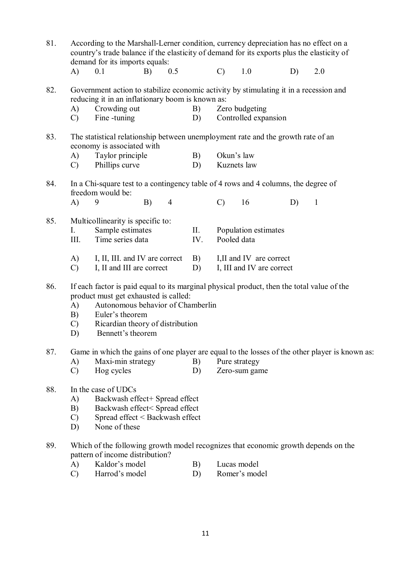| 81. |                                 | According to the Marshall-Lerner condition, currency depreciation has no effect on a<br>country's trade balance if the elasticity of demand for its exports plus the elasticity of<br>demand for its imports equals:                                 |    |                |           |               |                                                       |    |              |  |
|-----|---------------------------------|------------------------------------------------------------------------------------------------------------------------------------------------------------------------------------------------------------------------------------------------------|----|----------------|-----------|---------------|-------------------------------------------------------|----|--------------|--|
|     | A)                              | 0.1                                                                                                                                                                                                                                                  | B) | 0.5            |           | $\mathcal{C}$ | 1.0                                                   | D) | 2.0          |  |
| 82. |                                 | Government action to stabilize economic activity by stimulating it in a recession and<br>reducing it in an inflationary boom is known as:                                                                                                            |    |                |           |               |                                                       |    |              |  |
|     | A)<br>$\mathcal{C}$             | Crowding out<br>Fine -tuning                                                                                                                                                                                                                         |    |                | B)<br>D)  |               | Zero budgeting<br>Controlled expansion                |    |              |  |
| 83. |                                 | The statistical relationship between unemployment rate and the growth rate of an<br>economy is associated with                                                                                                                                       |    |                |           |               |                                                       |    |              |  |
|     | A)<br>$\mathcal{C}$             | Taylor principle<br>Phillips curve                                                                                                                                                                                                                   |    |                | B)<br>D)  |               | Okun's law<br>Kuznets law                             |    |              |  |
| 84. |                                 | In a Chi-square test to a contingency table of 4 rows and 4 columns, the degree of<br>freedom would be:                                                                                                                                              |    |                |           |               |                                                       |    |              |  |
|     | A)                              | 9                                                                                                                                                                                                                                                    | B) | $\overline{4}$ |           | $\mathcal{C}$ | 16                                                    | D) | $\mathbf{1}$ |  |
| 85. | I.<br>III.                      | Multicollinearity is specific to:<br>Sample estimates<br>Time series data                                                                                                                                                                            |    |                | П.<br>IV. |               | Population estimates<br>Pooled data                   |    |              |  |
|     | A)<br>$\mathcal{C}$             | I, II, III. and IV are correct<br>I, II and III are correct                                                                                                                                                                                          |    |                | B)<br>D)  |               | I, II and IV are correct<br>I, III and IV are correct |    |              |  |
| 86. | A)<br>B)<br>$\mathcal{C}$<br>D) | If each factor is paid equal to its marginal physical product, then the total value of the<br>product must get exhausted is called:<br>Autonomous behavior of Chamberlin<br>Euler's theorem<br>Ricardian theory of distribution<br>Bennett's theorem |    |                |           |               |                                                       |    |              |  |
| 87. | A)<br>$\mathcal{C}$             | Game in which the gains of one player are equal to the losses of the other player is known as:<br>Maxi-min strategy<br>Hog cycles                                                                                                                    |    |                | B)<br>D)  |               | Pure strategy<br>Zero-sum game                        |    |              |  |
| 88. | A)<br>B)<br>$\mathcal{C}$<br>D) | In the case of UDCs<br>Backwash effect+ Spread effect<br>Backwash effect< Spread effect<br>Spread effect < Backwash effect<br>None of these                                                                                                          |    |                |           |               |                                                       |    |              |  |
| 89. | A)                              | Which of the following growth model recognizes that economic growth depends on the<br>pattern of income distribution?<br>Kaldor's model                                                                                                              |    |                | B)        |               | Lucas model                                           |    |              |  |
|     | $\mathcal{C}$                   | Harrod's model                                                                                                                                                                                                                                       |    |                | D)        |               | Romer's model                                         |    |              |  |
|     |                                 |                                                                                                                                                                                                                                                      |    |                |           |               |                                                       |    |              |  |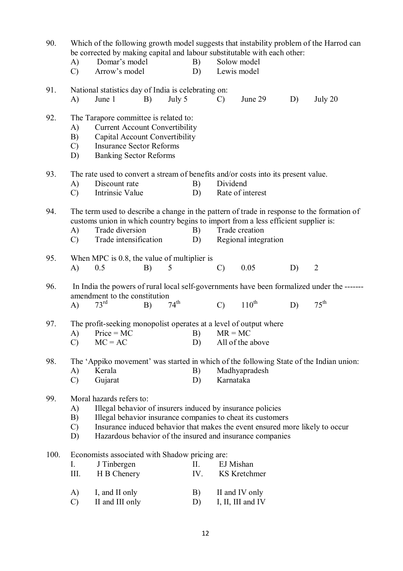| 90.  | A)<br>$\mathcal{C}$             | be corrected by making capital and labour substitutable with each other:<br>Domar's model<br>Arrow's model                                                                                                                                                                                         |    |                  | B)<br>D)     |               | Solow model<br>Lewis model             |    | Which of the following growth model suggests that instability problem of the Harrod can                        |  |
|------|---------------------------------|----------------------------------------------------------------------------------------------------------------------------------------------------------------------------------------------------------------------------------------------------------------------------------------------------|----|------------------|--------------|---------------|----------------------------------------|----|----------------------------------------------------------------------------------------------------------------|--|
| 91.  | A)                              | National statistics day of India is celebrating on:<br>June 1                                                                                                                                                                                                                                      | B) | July 5           |              | $\mathcal{C}$ | June 29                                | D) | July 20                                                                                                        |  |
| 92.  | A)<br>B)<br>$\mathcal{C}$<br>D) | The Tarapore committee is related to:<br><b>Current Account Convertibility</b><br>Capital Account Convertibility<br><b>Insurance Sector Reforms</b><br><b>Banking Sector Reforms</b>                                                                                                               |    |                  |              |               |                                        |    |                                                                                                                |  |
| 93.  | A)<br>$\mathcal{C}$             | The rate used to convert a stream of benefits and/or costs into its present value.<br>Discount rate<br>Intrinsic Value                                                                                                                                                                             |    |                  | B)<br>D)     | Dividend      | Rate of interest                       |    |                                                                                                                |  |
| 94.  | A)<br>$\mathcal{C}$             | customs union in which country begins to import from a less efficient supplier is:<br>Trade diversion<br>Trade intensification                                                                                                                                                                     |    |                  | B)<br>D)     |               | Trade creation<br>Regional integration |    | The term used to describe a change in the pattern of trade in response to the formation of                     |  |
| 95.  | A)                              | When MPC is 0.8, the value of multiplier is<br>0.5                                                                                                                                                                                                                                                 | B) | 5                |              | $\mathcal{C}$ | 0.05                                   | D) | $\overline{2}$                                                                                                 |  |
| 96.  | $\mathbf{A}$                    | amendment to the constitution<br>73 <sup>rd</sup>                                                                                                                                                                                                                                                  | B) | $74^{\text{th}}$ |              | $\mathcal{C}$ | $110^{th}$                             | D) | In India the powers of rural local self-governments have been formalized under the -------<br>$75^{\text{th}}$ |  |
| 97.  | A)<br>$\mathcal{C}$             | The profit-seeking monopolist operates at a level of output where<br>$Price = MC$<br>$MC = AC$                                                                                                                                                                                                     |    |                  | B)<br>D)     | $MR = MC$     | All of the above                       |    |                                                                                                                |  |
| 98.  | A)<br>$\mathcal{C}$             | Kerala<br>Gujarat                                                                                                                                                                                                                                                                                  |    |                  | B)<br>D)     | Karnataka     | Madhyapradesh                          |    | The 'Appiko movement' was started in which of the following State of the Indian union:                         |  |
| 99.  | A)<br>B)<br>$\mathcal{C}$<br>D) | Moral hazards refers to:<br>Illegal behavior of insurers induced by insurance policies<br>Illegal behavior insurance companies to cheat its customers<br>Insurance induced behavior that makes the event ensured more likely to occur<br>Hazardous behavior of the insured and insurance companies |    |                  |              |               |                                        |    |                                                                                                                |  |
| 100. | I.<br>III.                      | Economists associated with Shadow pricing are:<br>J Tinbergen<br>H B Chenery                                                                                                                                                                                                                       |    |                  | II.<br>IV.   |               | EJ Mishan<br><b>KS</b> Kretchmer       |    |                                                                                                                |  |
|      | $\Delta$ )                      | $I$ and $II$ only                                                                                                                                                                                                                                                                                  |    |                  | $\mathbf{B}$ |               | $II$ and $IV$ only                     |    |                                                                                                                |  |

A) I, and II only B)<br>
C) II and III only D) II and IV only I, II, III and IV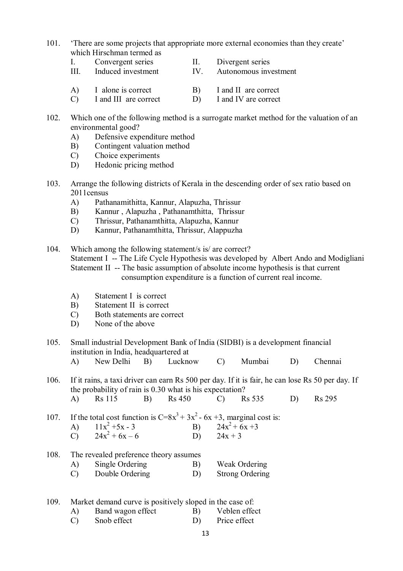- 101. 'There are some projects that appropriate more external economies than they create' which Hirschman termed as
	- I. Convergent series II. Divergent series
	- III. Induced investment IV. Autonomous investment
	- A) I alone is correct B) I and II are correct
	- C) I and III are correct D) I and IV are correct
- 102. Which one of the following method is a surrogate market method for the valuation of an environmental good?
	- A) Defensive expenditure method
	- B) Contingent valuation method
	- C) Choice experiments
	- D) Hedonic pricing method
- 103. Arrange the following districts of Kerala in the descending order of sex ratio based on 2011census
	- A) Pathanamithitta, Kannur, Alapuzha, Thrissur
	- B) Kannur , Alapuzha , Pathanamthitta, Thrissur
	- C) Thrissur, Pathanamthitta, Alapuzha, Kannur
	- D) Kannur, Pathanamthitta, Thrissur, Alappuzha

104. Which among the following statement/s is/ are correct? Statement I -- The Life Cycle Hypothesis was developed by Albert Ando and Modigliani Statement II -- The basic assumption of absolute income hypothesis is that current consumption expenditure is a function of current real income.

- A) Statement I is correct
- B) Statement II is correct
- C) Both statements are correct
- D) None of the above
- 105. Small industrial Development Bank of India (SIDBI) is a development financial institution in India, headquartered at
	- A) New Delhi B) Lucknow C) Mumbai D) Chennai

106. If it rains, a taxi driver can earn Rs 500 per day. If it is fair, he can lose Rs 50 per day. If the probability of rain is  $0.30$  what is his expectation?<br>A) Rs  $115$  B) Rs  $450$  C) Rs  $535$ A) Rs 115 B) Rs 450 C) Rs 535 D) Rs 295

107. If the total cost function is  $C=8x^3 + 3x^2 - 6x + 3$ , marginal cost is:

- A)  $11x^2 + 5x 3$  B)  $24x^2$  $24x^2 + 6x +3$ <br>  $24x + 3$ C)  $24x^2 + 6x - 6$  D)  $24x + 3$
- 108. The revealed preference theory assumes
	- A) Single Ordering B) Weak Ordering
	- C) Double Ordering D) Strong Ordering
- 109. Market demand curve is positively sloped in the case of:
	- A) Band wagon effect B) Veblen effect C) Snob effect D) Price effect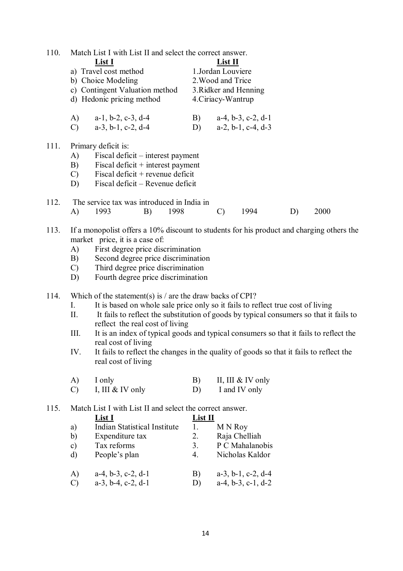| 110.         | Match List I with List II and select the correct answer.<br>List I<br>a) Travel cost method<br>b) Choice Modeling<br>c) Contingent Valuation method<br>d) Hedonic pricing method                                                                                                                                                                                                                                                                                                                                                                                                                                                                                                                                                                                                                                                                                |                                               | List II<br>1.Jordan Louviere<br>2. Wood and Trice<br>3. Ridker and Henning<br>4. Ciriacy-Wantrup                                 |    |      |
|--------------|-----------------------------------------------------------------------------------------------------------------------------------------------------------------------------------------------------------------------------------------------------------------------------------------------------------------------------------------------------------------------------------------------------------------------------------------------------------------------------------------------------------------------------------------------------------------------------------------------------------------------------------------------------------------------------------------------------------------------------------------------------------------------------------------------------------------------------------------------------------------|-----------------------------------------------|----------------------------------------------------------------------------------------------------------------------------------|----|------|
|              | A)<br>$a-1$ , $b-2$ , $c-3$ , $d-4$<br>$a-3$ , $b-1$ , $c-2$ , $d-4$<br>$\mathcal{C}$                                                                                                                                                                                                                                                                                                                                                                                                                                                                                                                                                                                                                                                                                                                                                                           | B)<br>D)                                      | $a-4$ , $b-3$ , $c-2$ , $d-1$<br>$a-2$ , $b-1$ , $c-4$ , $d-3$                                                                   |    |      |
| 111.         | Primary deficit is:<br>A)<br>Fiscal deficit – interest payment<br>Fiscal deficit $+$ interest payment<br>B)<br>Fiscal deficit + revenue deficit<br>$\mathcal{C}$<br>Fiscal deficit – Revenue deficit<br>D)                                                                                                                                                                                                                                                                                                                                                                                                                                                                                                                                                                                                                                                      |                                               |                                                                                                                                  |    |      |
| 112.         | The service tax was introduced in India in<br>A)<br>1993<br>B)                                                                                                                                                                                                                                                                                                                                                                                                                                                                                                                                                                                                                                                                                                                                                                                                  | 1998                                          | 1994<br>$\mathcal{C}$                                                                                                            | D) | 2000 |
| 113.<br>114. | If a monopolist offers a 10% discount to students for his product and charging others the<br>market price, it is a case of:<br>First degree price discrimination<br>A)<br>Second degree price discrimination<br>B)<br>Third degree price discrimination<br>$\mathcal{C}$<br>D)<br>Fourth degree price discrimination<br>Which of the statement(s) is / are the draw backs of CPI?<br>It is based on whole sale price only so it fails to reflect true cost of living<br>I.<br>It fails to reflect the substitution of goods by typical consumers so that it fails to<br>II.<br>reflect the real cost of living<br>III.<br>It is an index of typical goods and typical consumers so that it fails to reflect the<br>real cost of living<br>It fails to reflect the changes in the quality of goods so that it fails to reflect the<br>IV.<br>real cost of living |                                               |                                                                                                                                  |    |      |
|              | A)<br>I only<br>I, III & IV only<br>$\mathcal{C}$                                                                                                                                                                                                                                                                                                                                                                                                                                                                                                                                                                                                                                                                                                                                                                                                               | B)<br>D)                                      | II, III $&$ IV only<br>I and IV only                                                                                             |    |      |
| 115.         | Match List I with List II and select the correct answer.<br>List I<br><b>Indian Statistical Institute</b><br>a)<br>b)<br>Expenditure tax<br>Tax reforms<br>$\mathbf{c})$<br>People's plan<br>$\rm d)$<br>A)<br>$a-4, b-3, c-2, d-1$<br>$\mathcal{C}$<br>$a-3$ , $b-4$ , $c-2$ , $d-1$                                                                                                                                                                                                                                                                                                                                                                                                                                                                                                                                                                           | $List$ II<br>1.<br>2.<br>3.<br>4.<br>B)<br>D) | M N Roy<br>Raja Chelliah<br>P C Mahalanobis<br>Nicholas Kaldor<br>$a-3$ , $b-1$ , $c-2$ , $d-4$<br>$a-4$ , $b-3$ , $c-1$ , $d-2$ |    |      |

14